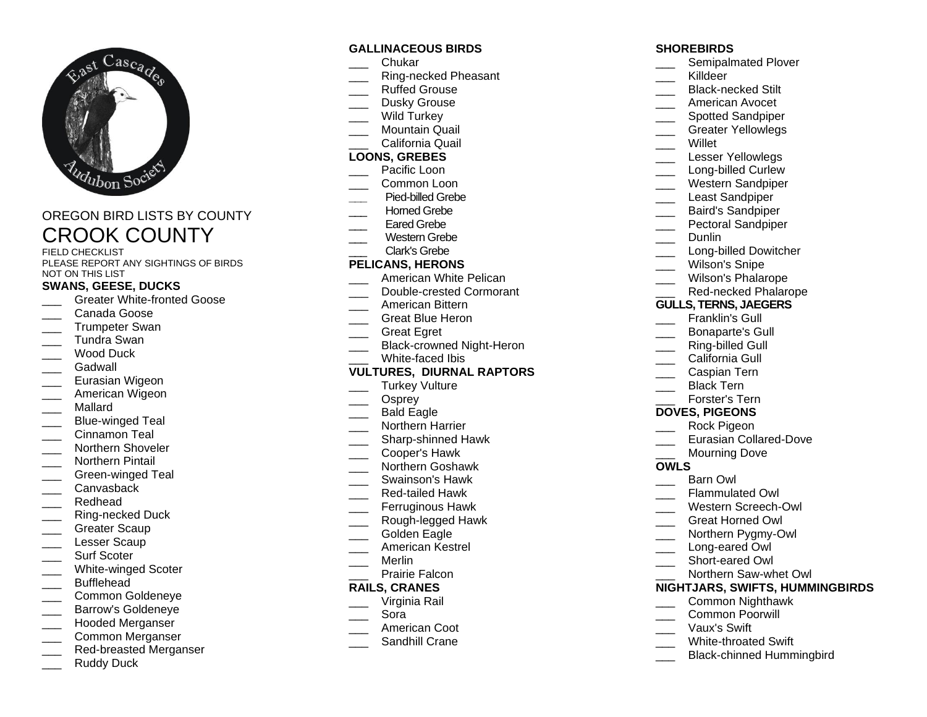

# OREGON BIRD LISTS BY COUNTY CROOK COUNTY

FIELD CHECKLIST PLEASE REPORT ANY SIGHTINGS OF BIRDS NOT ON THIS LIST

# **SWANS, GEESE, DUCKS**

- Greater White-fronted Goose
- \_\_\_ Canada Goose
- Trumpeter Swan
- \_\_\_ Tundra Swan
- Wood Duck
- Gadwall
- Eurasian Wigeon
- American Wigeon
- \_\_\_ Mallard
- Blue-winged Teal
- Cinnamon Teal
- \_\_\_ Northern Shoveler
- \_\_\_ Northern Pintail
- Green-winged Teal
- \_\_\_ Canvasback
- Redhead
- Ring-necked Duck
- \_\_\_ Greater Scaup
- Lesser Scaup
- Surf Scoter
- White-winged Scoter
- Bufflehead
- \_\_\_ Common Goldeneye
- \_\_\_ Barrow's Goldeneye
- \_\_\_ Hooded Merganser
- Common Merganser
- Red-breasted Merganser
- Ruddy Duck

# **GALLINACEOUS BIRDS**

- \_\_\_ Chukar
- \_\_\_ Ring-necked Pheasant
- \_\_\_ Ruffed Grouse
- Dusky Grouse
- Wild Turkey
- Mountain Quail \_\_\_ California Quail

# **LOONS, GREBES**

- Pacific Loon
- \_\_\_ Common Loon
- **\_\_\_** Pied-billed Grebe
- Horned Grebe
- Eared Grebe
- Western Grebe
- \_\_\_ Clark's Grebe

# **PELICANS, HERONS**

- American White Pelican
- Double-crested Cormorant
- \_\_\_ American Bittern
- \_\_\_ Great Blue Heron
- \_\_\_ Great Egret
- Black-crowned Night-Heron
- White-faced Ibis

### **VULTURES, DIURNAL RAPTORS**

- Turkey Vulture
- Osprey
- Bald Eagle
- Northern Harrier
- \_\_\_ Sharp-shinned Hawk
- \_\_\_ Cooper's Hawk
- \_\_\_ Northern Goshawk
- \_\_\_ Swainson's Hawk
- \_\_\_ Red-tailed Hawk
- Ferruginous Hawk
- Rough-legged Hawk
- Golden Eagle
- \_\_\_ American Kestrel
- \_\_\_ Merlin
- Prairie Falcon

### **RAILS, CRANES**

- \_\_\_ Virginia Rail
- \_\_\_ Sora
- American Coot
- Sandhill Crane

# **SHOREBIRDS**

- Semipalmated Plover
- Killdeer
- \_\_\_ Black-necked Stilt
- \_\_\_ American Avocet
- \_\_\_ Spotted Sandpiper
- Greater Yellowlegs
- **Willet**
- Lesser Yellowlegs
- Long-billed Curlew
- \_\_\_ Western Sandpiper
- Least Sandpiper
- \_\_\_ Baird's Sandpiper
- Pectoral Sandpiper
- Dunlin
	- Long-billed Dowitcher
- Wilson's Snipe
- \_\_\_ Wilson's Phalarope
- Red-necked Phalarope

### **GULLS, TERNS, JAEGERS**

Caspian Tern Black Tern Forster's Tern **DOVES, PIGEONS** Rock Pigeon

Mourning Dove

Flammulated Owl Western Screech-Owl \_\_\_ Great Horned Owl Northern Pygmy-Owl Long-eared Owl Short-eared Owl

Barn Owl

Eurasian Collared-Dove

\_\_\_ Northern Saw-whet Owl **NIGHTJARS, SWIFTS, HUMMINGBIRDS**

> \_\_\_ Common Nighthawk Common Poorwill \_\_\_ Vaux's Swift

White-throated Swift

\_\_\_ Black-chinned Hummingbird

- Franklin's Gull
- \_\_\_ Bonaparte's Gull
- Ring-billed Gull
- California Gull

**OWLS**